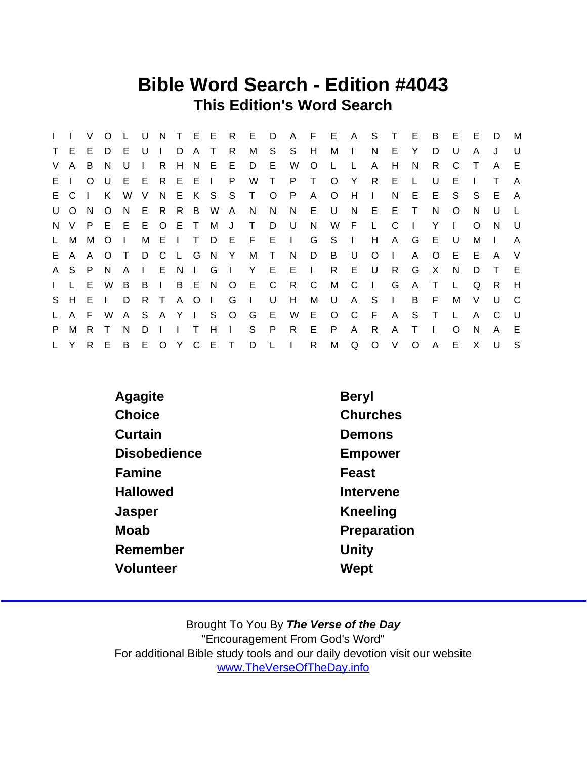## Bible Word Search - Edition #4043 This Edition's Word Search

|              |              | V        | $\Omega$     |    | U            | N            |                | T E E   |              | R            | E.           | D       | $\mathsf{A}$ | F            | E.       | A       | S        | T            | E        | B            | E            | Е        | D  | M      |
|--------------|--------------|----------|--------------|----|--------------|--------------|----------------|---------|--------------|--------------|--------------|---------|--------------|--------------|----------|---------|----------|--------------|----------|--------------|--------------|----------|----|--------|
| $\mathsf{T}$ | E.           | Е        | D.           | Е  | U            |              | D              | A       | $\top$       | R            | М            | S.      | S            | H            | М        | $\perp$ | N        | E            | Y        | D.           | U            | A        | J  | U      |
| V            | A            | B        | <sub>N</sub> | U  |              | R.           | H.             | N       | E            | E            | D            | E       | W            | $\circ$      | L        |         | A        | Н            | N        | R            | C            |          | A  | E.     |
| E I          |              | $\Omega$ | U            | E. | E            | R.           | E E            |         |              | P            | W            | T.      | P.           | T.           | $\Omega$ | Y       | R.       | E.           |          | U            | Е            |          |    | A      |
|              | E C          |          | K            | W  | V            | N            |                | E K     | S            | S            | T.           | $\circ$ | P.           | A            | $\circ$  | H       | $\perp$  | N            | E.       | E            | S.           | S.       | E. | A      |
| U            | $\circ$      | N        | O            | N. | E            | R.           | R B            |         | W            | A            | N.           | N.      | N            | E.           | U        | N.      | E        | E            | $\top$   | N            | O            | N        | U  |        |
| N,           | V            | P        | E            | E  | E            | $\circ$      | E T            |         | M            | J            | T.           | D       | U            | N            | W        | - F     | L.       | C            |          | Y            | $\mathbf{I}$ | $\Omega$ | N  | U      |
| $\mathsf{L}$ | М            | М        | O            |    | М            | E.           | $\blacksquare$ | $\top$  | D            | E            | - F          | E.      | $\sim 1$ .   | G            | S.       | $\Box$  | H        | A            | G        | E            | U            | м        |    | A      |
| E.           | $\mathsf{A}$ | A        | $\Omega$     |    | D            | C            | $\mathbf{L}$   | G       | N.           | Y            | М            | $\top$  | N            | D            | B        | U       | $\Omega$ | $\mathbf{I}$ | A        | $\Omega$     | E.           | Е        | A  | $\vee$ |
|              | A S          | P        | <sub>N</sub> | A  | $\mathbf{L}$ | E.           | N <sub>1</sub> |         | G            |              | Y            | E       | Е            | $\mathbf{L}$ | R.       | E       | U        | R.           | G        | $\mathsf{X}$ | N            | D.       |    | E      |
| $\mathbf{L}$ | $\mathbf{L}$ | E        | W            | B  | B            | $\mathbf{L}$ | B E            |         | N            | $\circ$      | Е            | C       | R            | C            | M        | C       | $\perp$  | G            | A        | Τ            | L.           | Q        | R. | H      |
| S.           | H            | E        |              | D  | R.           | $\top$       | $\mathsf{A}$   | $\circ$ | $\mathbf{I}$ | G            | $\mathbf{L}$ | U       | H            | M            | U        | A       | S        | $\mathbf{L}$ | B        | E            | м            | V        | U  | C      |
| L.           | $\mathsf{A}$ | E        | W            | A  | S.           |              | A Y I          |         | S            | $\circ$      | G            | E       | W            | E.           | $\circ$  | C       | F        | A            | S        | $\top$       |              | A        | C  | - U    |
| P.           | M            | R.       |              | N  | D.           |              |                |         | н            | $\mathbf{I}$ | S            | P       | R            | E            | P        | A       | R.       | A            | т        |              | $\Omega$     | N        | A  | E      |
| L.           |              | R.       | Е            | B  | E            |              | O Y            | C       | E.           | $\top$       | D            |         |              | R            | M        | Q       | $\circ$  | $\vee$       | $\Omega$ | A            | Е            | X        | U  | S      |

| <b>Beryl</b> |
|--------------|
| Churches     |
| Demons       |
| Empower      |
| Feast        |
| Intervene    |
| Kneeling     |
| Preparation  |
| Unity        |
| Wept         |
|              |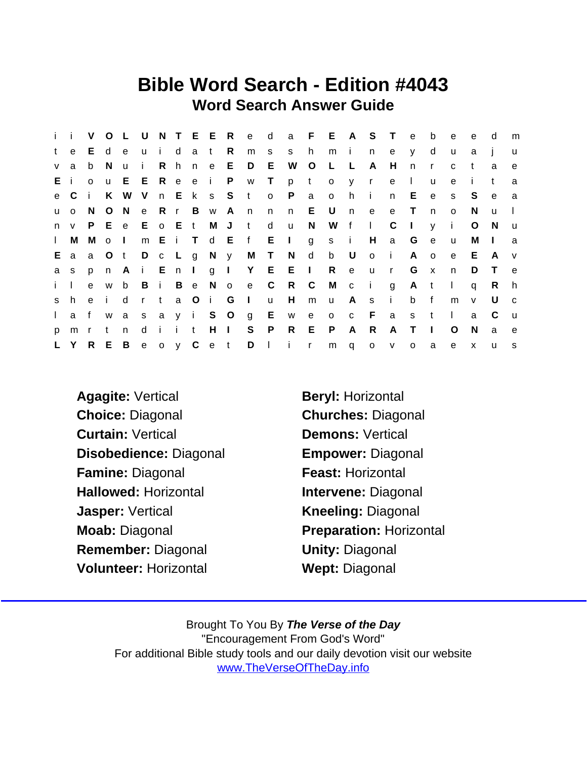## Bible Word Search - Edition #4043 Word Search Answer Guide

|              | i i            | V            | $\circ$      |                   |    |     |         |                 |                   |                | L U N T E E R e d a F E A S T |       |                |              |       |              | e            | b            | $\mathbf{e}$ | e            | d            | m            |
|--------------|----------------|--------------|--------------|-------------------|----|-----|---------|-----------------|-------------------|----------------|-------------------------------|-------|----------------|--------------|-------|--------------|--------------|--------------|--------------|--------------|--------------|--------------|
| t            | e              | E.           | d            | e                 |    |     | u i dat | R               |                   | m <sub>s</sub> | s h                           |       | mi             |              | n     | e            | <b>y</b>     | d            | u            | a            |              | $\mathsf{u}$ |
| $\mathsf{V}$ | a              | b            | - N          | $\mathbf{u}$      | j. |     |         |                 | R h n e E D E     |                |                               | W O L |                | $\mathbb{L}$ | A     | H            | $\mathsf{n}$ | $\mathsf{r}$ | $\mathbf{C}$ | t            | a            | e            |
|              | Ei             | $\Omega$     | <b>u</b>     |                   |    |     |         |                 | E E R e e i P w T |                | p                             | t     | $\mathsf{O}$   |              | y r   | e            | $\Box$       | $\mathsf{u}$ | e            | Ť.           | $^{\dagger}$ | a            |
|              | e C            | - i -        | K            | W                 |    |     |         | V n E k s S t   |                   |                | $o$ $P$                       | a     | $\mathsf{o}$   | h i          |       | n.           | E.           | $\mathbf{e}$ | S            | S            | e            | a            |
|              | u o            | N.           | $\circ$      |                   |    |     |         | N e R r B w A n |                   | n              | $\mathsf{n}$                  | E U   |                | n e          |       | e            | $\top$       | $\mathsf{n}$ | $\circ$      | N.           | u            | $\mathbf{L}$ |
|              | $n \vee$       |              |              | P E e E o E t M J |    |     |         |                 | $-t$              | d              | <b>u</b>                      | N     |                | W f I        |       | C            | $\Box$       | $\mathsf{V}$ | $\mathbf{i}$ | $\circ$      | - N          | <b>u</b>     |
|              | $\mathsf{I}$ M | Mol          |              |                   |    |     |         |                 |                   |                | m Ei T d E f E l g s i H      |       |                |              |       | a G          |              | e            | <b>u</b>     | M            | $\Box$       | a            |
|              | E a            | a            | $\circ$ O    | t                 |    |     |         |                 | D c L g N y M T   |                | N d                           |       | b U            |              | o i   |              | A            | $\circ$      | e            | E            | A            | V            |
|              | a s            | p            |              |                   |    |     |         |                 |                   |                | n Ai En Ig I Y E E I Reur     |       |                |              |       |              | G            | $\mathbf{x}$ | n            | D            | $\top$       | e e          |
| $i \perp$    |                | $\mathbf{e}$ | W            |                   |    |     |         |                 | b B i B e N o e C |                | R C                           |       | M c i          |              |       | g            | A t          |              | $\mathbf{L}$ | q            | R.           | h.           |
|              | s h            | e i          |              | d                 |    | r t |         | a O i G I       |                   | $\mathsf{u}$   | H                             | m     | u A s          |              |       | $\sim 1$ .   | b            | f            | m            | $\mathsf{V}$ | U            | $\mathbf{C}$ |
| $\mathbf{L}$ | a f            |              | <b>W</b>     |                   |    |     |         |                 | a s a y i S O g E |                | w e                           |       | $\overline{O}$ |              | $c$ F | a            | s t          |              | $\mathbf{1}$ | a            | C            | <b>u</b>     |
| p.           | m r            |              | $\mathsf{t}$ | n                 |    |     |         | d i i t H I     | S P               |                | R E                           |       | P              | A            | R     | $\mathsf{A}$ | $\top$       | $\mathbf{I}$ | $\circ$      | N            | a            | e            |
|              |                |              |              |                   |    |     |         |                 |                   |                | L Y R E B e o y C e t D I i r |       | m q o v        |              |       |              | $\circ$      | a            | $\mathbf{e}$ | $\mathsf{x}$ | $\mathbf{u}$ | S            |

Agagite: Vertical Beryl: Horizontal Choice: Diagonal Churches: Diagonal Curtain: Vertical **Demons: Vertical** Disobedience: Diagonal Empower: Diagonal Famine: Diagonal Feast: Horizontal Hallowed: Horizontal **Intervene: Diagonal** Jasper: Vertical **Kneeling: Diagonal** Moab: Diagonal Preparation: Horizontal Remember: Diagonal **Unity: Diagonal** Volunteer: Horizontal Wept: Diagonal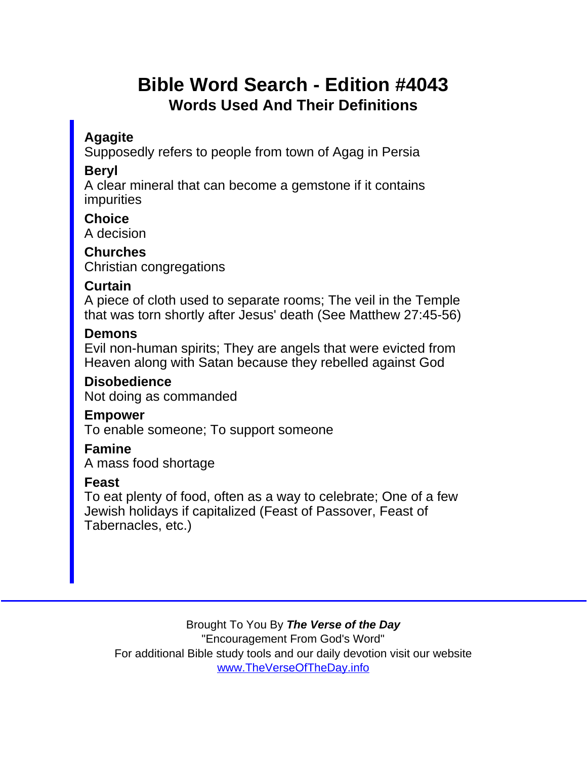## Bible Word Search - Edition #4043 Words Used And Their Definitions

**Agagite** 

Supposedly refers to people from town of Agag in Persia

Beryl

A clear mineral that can become a gemstone if it contains impurities

**Choice** A decision

**Churches** Christian congregations

Curtain

A piece of cloth used to separate rooms; The veil in the Temple that was torn shortly after Jesus' death (See Matthew 27:45-56)

**Demons** 

Evil non-human spirits; They are angels that were evicted from Heaven along with Satan because they rebelled against God

Disobedience Not doing as commanded

Empower

To enable someone; To support someone

Famine

A mass food shortage

Feast

To eat plenty of food, often as a way to celebrate; One of a few Jewish holidays if capitalized (Feast of Passover, Feast of Tabernacles, etc.)